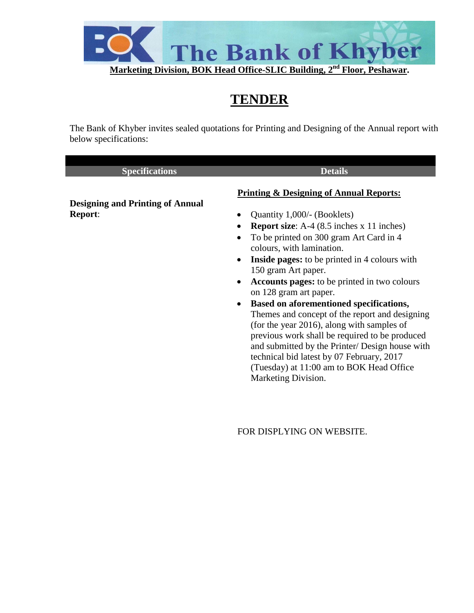

# **TENDER**

The Bank of Khyber invites sealed quotations for Printing and Designing of the Annual report with below specifications:

| <b>Specifications</b>                   | <b>Details</b>                                                                             |
|-----------------------------------------|--------------------------------------------------------------------------------------------|
|                                         | <b>Printing &amp; Designing of Annual Reports:</b>                                         |
| <b>Designing and Printing of Annual</b> |                                                                                            |
| <b>Report:</b>                          | Quantity 1,000/- (Booklets)<br>$\bullet$                                                   |
|                                         | <b>Report size:</b> A-4 $(8.5$ inches $x$ 11 inches)<br>$\bullet$                          |
|                                         | To be printed on 300 gram Art Card in 4<br>$\bullet$<br>colours, with lamination.          |
|                                         | <b>Inside pages:</b> to be printed in 4 colours with<br>$\bullet$                          |
|                                         | 150 gram Art paper.                                                                        |
|                                         | <b>Accounts pages:</b> to be printed in two colours<br>$\bullet$<br>on 128 gram art paper. |
|                                         | Based on aforementioned specifications,<br>$\bullet$                                       |
|                                         | Themes and concept of the report and designing                                             |
|                                         | (for the year 2016), along with samples of                                                 |
|                                         | previous work shall be required to be produced                                             |
|                                         | and submitted by the Printer/ Design house with                                            |
|                                         | technical bid latest by 07 February, 2017                                                  |

FOR DISPLYING ON WEBSITE.

Marketing Division.

(Tuesday) at 11:00 am to BOK Head Office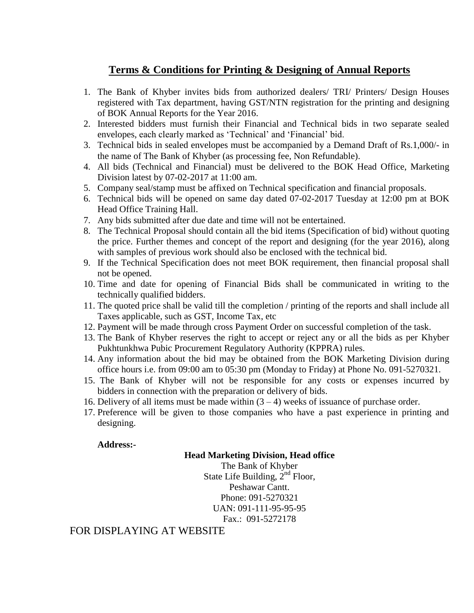## **Terms & Conditions for Printing & Designing of Annual Reports**

- 1. The Bank of Khyber invites bids from authorized dealers/ TRI/ Printers/ Design Houses registered with Tax department, having GST/NTN registration for the printing and designing of BOK Annual Reports for the Year 2016.
- 2. Interested bidders must furnish their Financial and Technical bids in two separate sealed envelopes, each clearly marked as 'Technical' and 'Financial' bid.
- 3. Technical bids in sealed envelopes must be accompanied by a Demand Draft of Rs.1,000/- in the name of The Bank of Khyber (as processing fee, Non Refundable).
- 4. All bids (Technical and Financial) must be delivered to the BOK Head Office, Marketing Division latest by 07-02-2017 at 11:00 am.
- 5. Company seal/stamp must be affixed on Technical specification and financial proposals.
- 6. Technical bids will be opened on same day dated 07-02-2017 Tuesday at 12:00 pm at BOK Head Office Training Hall.
- 7. Any bids submitted after due date and time will not be entertained.
- 8. The Technical Proposal should contain all the bid items (Specification of bid) without quoting the price. Further themes and concept of the report and designing (for the year 2016), along with samples of previous work should also be enclosed with the technical bid.
- 9. If the Technical Specification does not meet BOK requirement, then financial proposal shall not be opened.
- 10. Time and date for opening of Financial Bids shall be communicated in writing to the technically qualified bidders.
- 11. The quoted price shall be valid till the completion / printing of the reports and shall include all Taxes applicable, such as GST, Income Tax, etc
- 12. Payment will be made through cross Payment Order on successful completion of the task.
- 13. The Bank of Khyber reserves the right to accept or reject any or all the bids as per Khyber Pukhtunkhwa Pubic Procurement Regulatory Authority (KPPRA) rules.
- 14. Any information about the bid may be obtained from the BOK Marketing Division during office hours i.e. from 09:00 am to 05:30 pm (Monday to Friday) at Phone No. 091-5270321.
- 15. The Bank of Khyber will not be responsible for any costs or expenses incurred by bidders in connection with the preparation or delivery of bids.
- 16. Delivery of all items must be made within  $(3 4)$  weeks of issuance of purchase order.
- 17. Preference will be given to those companies who have a past experience in printing and designing.

### **Address:-**

#### **Head Marketing Division, Head office**

The Bank of Khyber State Life Building,  $2^{nd}$  Floor, Peshawar Cantt. Phone: 091-5270321 UAN: 091-111-95-95-95 Fax.: 091-5272178

## FOR DISPLAYING AT WEBSITE